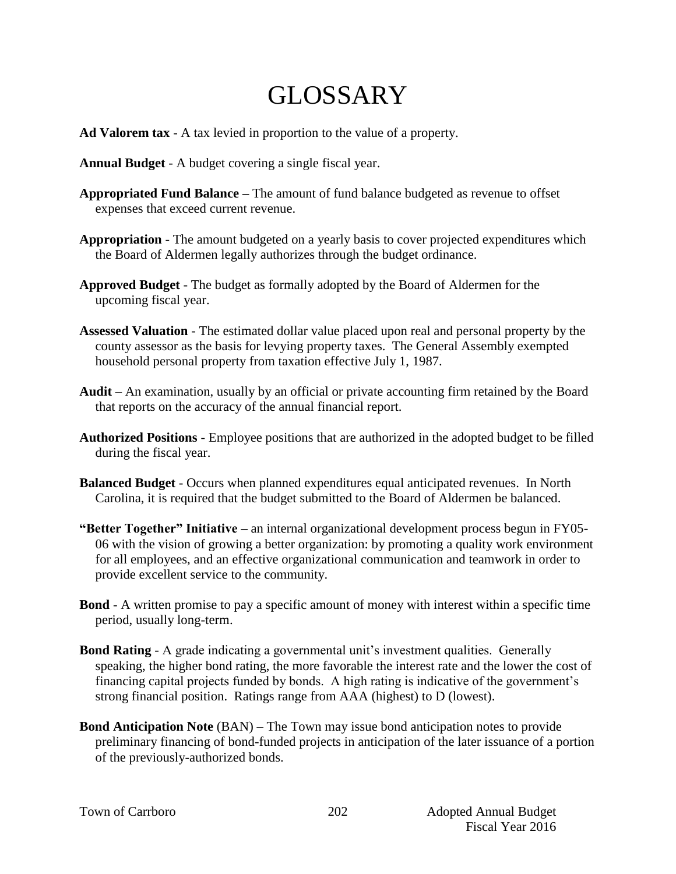## GLOSSARY

- **Ad Valorem tax** A tax levied in proportion to the value of a property.
- **Annual Budget** A budget covering a single fiscal year.
- **Appropriated Fund Balance –** The amount of fund balance budgeted as revenue to offset expenses that exceed current revenue.
- **Appropriation** The amount budgeted on a yearly basis to cover projected expenditures which the Board of Aldermen legally authorizes through the budget ordinance.
- **Approved Budget** The budget as formally adopted by the Board of Aldermen for the upcoming fiscal year.
- **Assessed Valuation** The estimated dollar value placed upon real and personal property by the county assessor as the basis for levying property taxes. The General Assembly exempted household personal property from taxation effective July 1, 1987.
- **Audit** An examination, usually by an official or private accounting firm retained by the Board that reports on the accuracy of the annual financial report.
- **Authorized Positions**  Employee positions that are authorized in the adopted budget to be filled during the fiscal year.
- **Balanced Budget** Occurs when planned expenditures equal anticipated revenues. In North Carolina, it is required that the budget submitted to the Board of Aldermen be balanced.
- **"Better Together" Initiative –** an internal organizational development process begun in FY05- 06 with the vision of growing a better organization: by promoting a quality work environment for all employees, and an effective organizational communication and teamwork in order to provide excellent service to the community.
- **Bond** A written promise to pay a specific amount of money with interest within a specific time period, usually long-term.
- **Bond Rating** A grade indicating a governmental unit's investment qualities. Generally speaking, the higher bond rating, the more favorable the interest rate and the lower the cost of financing capital projects funded by bonds. A high rating is indicative of the government's strong financial position. Ratings range from AAA (highest) to D (lowest).
- **Bond Anticipation Note** (BAN) The Town may issue bond anticipation notes to provide preliminary financing of bond-funded projects in anticipation of the later issuance of a portion of the previously-authorized bonds.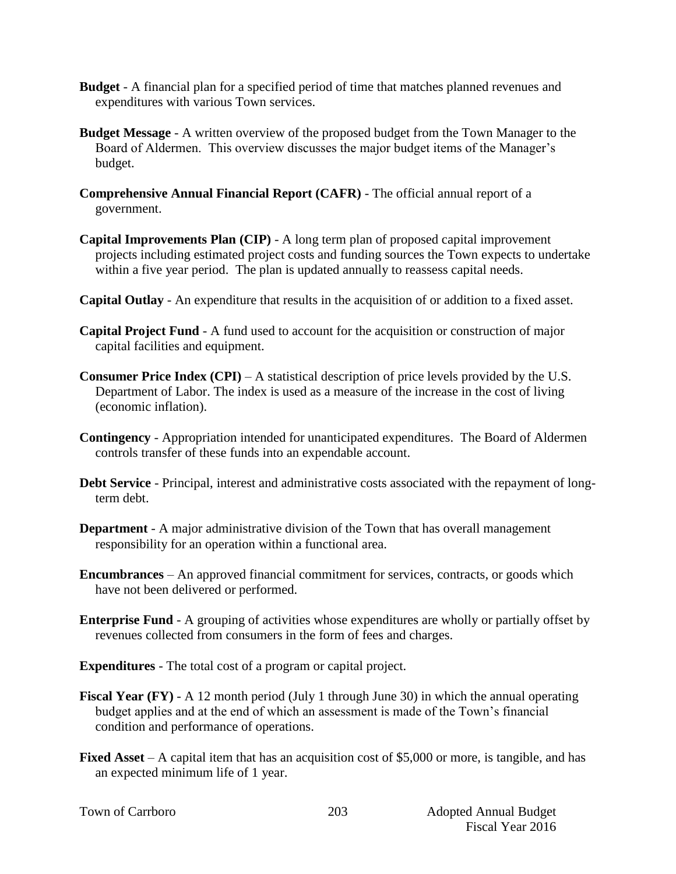- **Budget**  A financial plan for a specified period of time that matches planned revenues and expenditures with various Town services.
- **Budget Message** A written overview of the proposed budget from the Town Manager to the Board of Aldermen. This overview discusses the major budget items of the Manager's budget.
- **Comprehensive Annual Financial Report (CAFR)** The official annual report of a government.
- **Capital Improvements Plan (CIP)** A long term plan of proposed capital improvement projects including estimated project costs and funding sources the Town expects to undertake within a five year period. The plan is updated annually to reassess capital needs.
- **Capital Outlay** An expenditure that results in the acquisition of or addition to a fixed asset.
- **Capital Project Fund** A fund used to account for the acquisition or construction of major capital facilities and equipment.
- **Consumer Price Index (CPI)** A statistical description of price levels provided by the U.S. Department of Labor. The index is used as a measure of the increase in the cost of living (economic inflation).
- **Contingency**  Appropriation intended for unanticipated expenditures. The Board of Aldermen controls transfer of these funds into an expendable account.
- **Debt Service** Principal, interest and administrative costs associated with the repayment of longterm debt.
- **Department** A major administrative division of the Town that has overall management responsibility for an operation within a functional area.
- **Encumbrances**  An approved financial commitment for services, contracts, or goods which have not been delivered or performed.
- **Enterprise Fund** A grouping of activities whose expenditures are wholly or partially offset by revenues collected from consumers in the form of fees and charges.
- **Expenditures** The total cost of a program or capital project.
- **Fiscal Year (FY)** A 12 month period (July 1 through June 30) in which the annual operating budget applies and at the end of which an assessment is made of the Town's financial condition and performance of operations.
- **Fixed Asset** A capital item that has an acquisition cost of \$5,000 or more, is tangible, and has an expected minimum life of 1 year.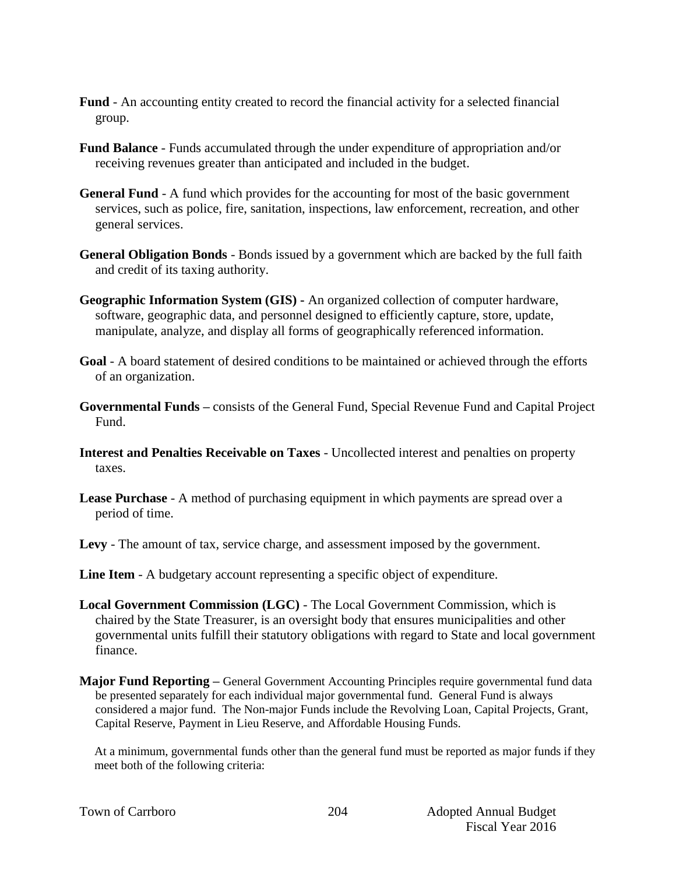- **Fund** An accounting entity created to record the financial activity for a selected financial group.
- **Fund Balance** Funds accumulated through the under expenditure of appropriation and/or receiving revenues greater than anticipated and included in the budget.
- **General Fund** A fund which provides for the accounting for most of the basic government services, such as police, fire, sanitation, inspections, law enforcement, recreation, and other general services.
- **General Obligation Bonds** Bonds issued by a government which are backed by the full faith and credit of its taxing authority.
- **Geographic Information System (GIS) -** An organized collection of computer hardware, software, geographic data, and personnel designed to efficiently capture, store, update, manipulate, analyze, and display all forms of geographically referenced information.
- **Goal** A board statement of desired conditions to be maintained or achieved through the efforts of an organization.
- **Governmental Funds –** consists of the General Fund, Special Revenue Fund and Capital Project Fund.
- **Interest and Penalties Receivable on Taxes** Uncollected interest and penalties on property taxes.
- **Lease Purchase** A method of purchasing equipment in which payments are spread over a period of time.
- **Levy**  The amount of tax, service charge, and assessment imposed by the government.
- **Line Item** A budgetary account representing a specific object of expenditure.
- **Local Government Commission (LGC)**  The Local Government Commission, which is chaired by the State Treasurer, is an oversight body that ensures municipalities and other governmental units fulfill their statutory obligations with regard to State and local government finance.
- **Major Fund Reporting –** General Government Accounting Principles require governmental fund data be presented separately for each individual major governmental fund. General Fund is always considered a major fund. The Non-major Funds include the Revolving Loan, Capital Projects, Grant, Capital Reserve, Payment in Lieu Reserve, and Affordable Housing Funds.

At a minimum, governmental funds other than the general fund must be reported as major funds if they meet both of the following criteria:

|  |  | Town of Carrboro |
|--|--|------------------|
|--|--|------------------|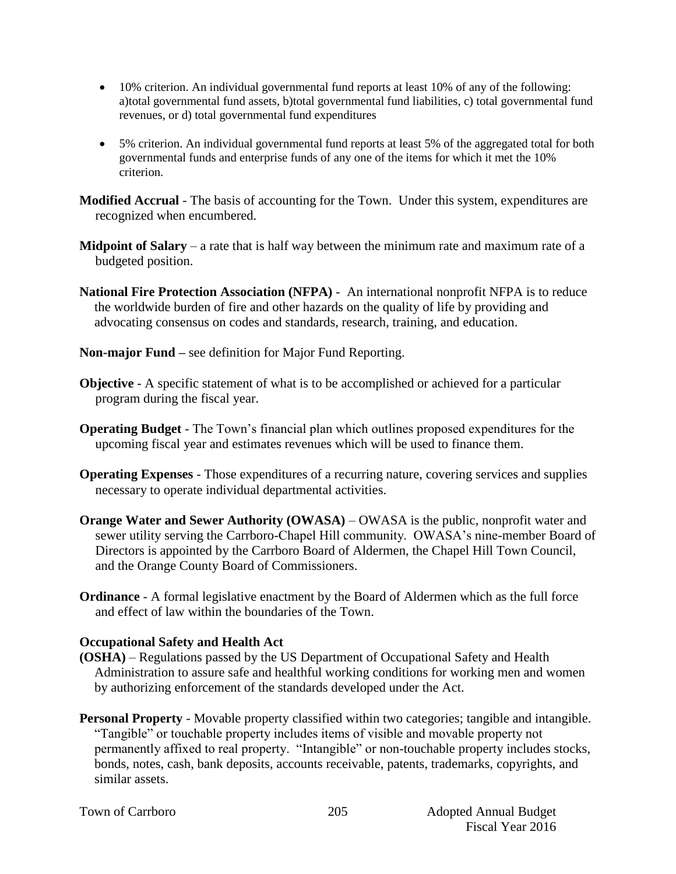- 10% criterion. An individual governmental fund reports at least 10% of any of the following: a)total governmental fund assets, b)total governmental fund liabilities, c) total governmental fund revenues, or d) total governmental fund expenditures
- 5% criterion. An individual governmental fund reports at least 5% of the aggregated total for both governmental funds and enterprise funds of any one of the items for which it met the 10% criterion.

**Modified Accrual** - The basis of accounting for the Town. Under this system, expenditures are recognized when encumbered.

- **Midpoint of Salary** a rate that is half way between the minimum rate and maximum rate of a budgeted position.
- **National Fire Protection Association (NFPA)**  An international nonprofit NFPA is to reduce the worldwide burden of fire and other hazards on the quality of life by providing and advocating consensus on codes and standards, research, training, and education.
- **Non-major Fund –** see definition for Major Fund Reporting.
- **Objective** A specific statement of what is to be accomplished or achieved for a particular program during the fiscal year.
- **Operating Budget** The Town's financial plan which outlines proposed expenditures for the upcoming fiscal year and estimates revenues which will be used to finance them.
- **Operating Expenses** Those expenditures of a recurring nature, covering services and supplies necessary to operate individual departmental activities.
- **Orange Water and Sewer Authority (OWASA)** OWASA is the public, nonprofit water and sewer utility serving the Carrboro-Chapel Hill community. OWASA's nine-member Board of Directors is appointed by the Carrboro Board of Aldermen, the Chapel Hill Town Council, and the Orange County Board of Commissioners.
- **Ordinance** A formal legislative enactment by the Board of Aldermen which as the full force and effect of law within the boundaries of the Town.

## **Occupational Safety and Health Act**

- **(OSHA)** Regulations passed by the US Department of Occupational Safety and Health Administration to assure safe and healthful working conditions for working men and women by authorizing enforcement of the standards developed under the Act.
- **Personal Property** Movable property classified within two categories; tangible and intangible. "Tangible" or touchable property includes items of visible and movable property not permanently affixed to real property. "Intangible" or non-touchable property includes stocks, bonds, notes, cash, bank deposits, accounts receivable, patents, trademarks, copyrights, and similar assets.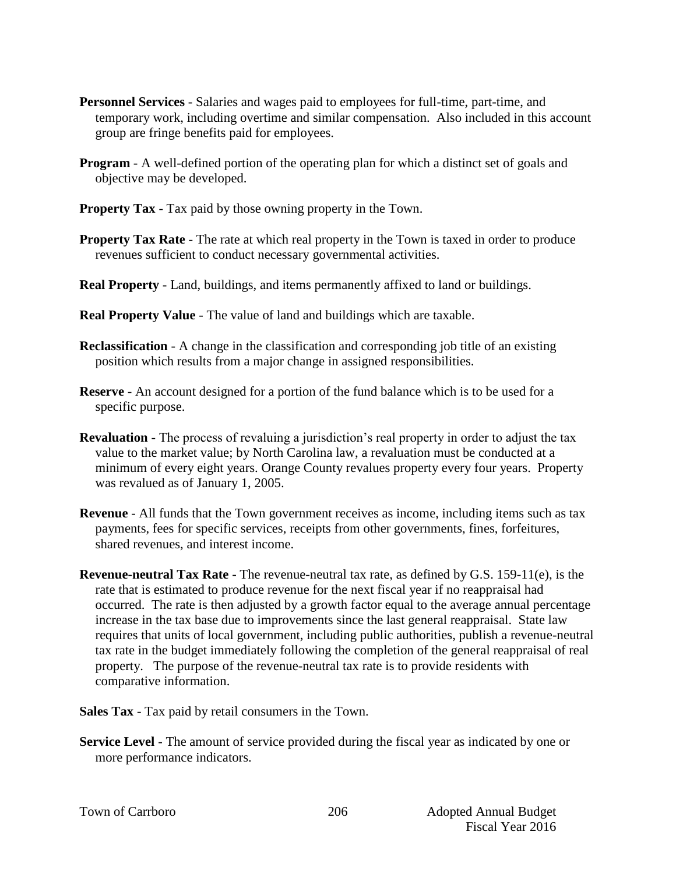- **Personnel Services** Salaries and wages paid to employees for full-time, part-time, and temporary work, including overtime and similar compensation. Also included in this account group are fringe benefits paid for employees.
- **Program** A well-defined portion of the operating plan for which a distinct set of goals and objective may be developed.
- **Property Tax** Tax paid by those owning property in the Town.
- **Property Tax Rate** The rate at which real property in the Town is taxed in order to produce revenues sufficient to conduct necessary governmental activities.
- **Real Property** Land, buildings, and items permanently affixed to land or buildings.
- **Real Property Value** The value of land and buildings which are taxable.
- **Reclassification** A change in the classification and corresponding job title of an existing position which results from a major change in assigned responsibilities.
- **Reserve** An account designed for a portion of the fund balance which is to be used for a specific purpose.
- **Revaluation**  The process of revaluing a jurisdiction's real property in order to adjust the tax value to the market value; by North Carolina law, a revaluation must be conducted at a minimum of every eight years. Orange County revalues property every four years. Property was revalued as of January 1, 2005.
- **Revenue**  All funds that the Town government receives as income, including items such as tax payments, fees for specific services, receipts from other governments, fines, forfeitures, shared revenues, and interest income.
- **Revenue-neutral Tax Rate -** The revenue-neutral tax rate, as defined by G.S. 159-11(e), is the rate that is estimated to produce revenue for the next fiscal year if no reappraisal had occurred. The rate is then adjusted by a growth factor equal to the average annual percentage increase in the tax base due to improvements since the last general reappraisal. State law requires that units of local government, including public authorities, publish a revenue-neutral tax rate in the budget immediately following the completion of the general reappraisal of real property. The purpose of the revenue-neutral tax rate is to provide residents with comparative information.
- **Sales Tax** Tax paid by retail consumers in the Town.
- **Service Level** The amount of service provided during the fiscal year as indicated by one or more performance indicators.